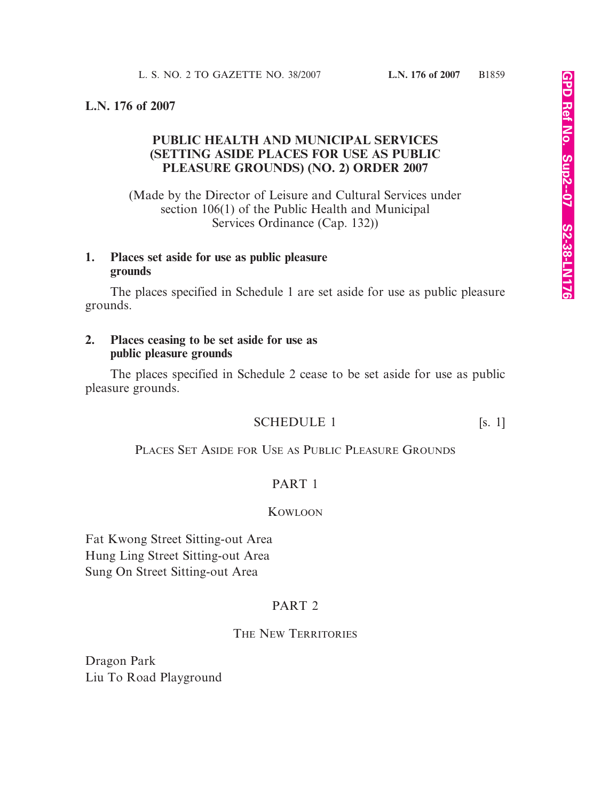#### **L.N. 176 of 2007**

# **PUBLIC HEALTH AND MUNICIPAL SERVICES (SETTING ASIDE PLACES FOR USE AS PUBLIC PLEASURE GROUNDS) (NO. 2) ORDER 2007**

(Made by the Director of Leisure and Cultural Services under section 106(1) of the Public Health and Municipal Services Ordinance (Cap. 132))

## **1. Places set aside for use as public pleasure grounds**

The places specified in Schedule 1 are set aside for use as public pleasure grounds.

#### **2. Places ceasing to be set aside for use as public pleasure grounds**

The places specified in Schedule 2 cease to be set aside for use as public pleasure grounds.

## SCHEDULE 1 [s. 1]

PLACES SET ASIDE FOR USE AS PUBLIC PLEASURE GROUNDS

# PART 1

#### KOWLOON

Fat Kwong Street Sitting-out Area Hung Ling Street Sitting-out Area Sung On Street Sitting-out Area

## PART<sub>2</sub>

#### THE NEW TERRITORIES

Dragon Park Liu To Road Playground